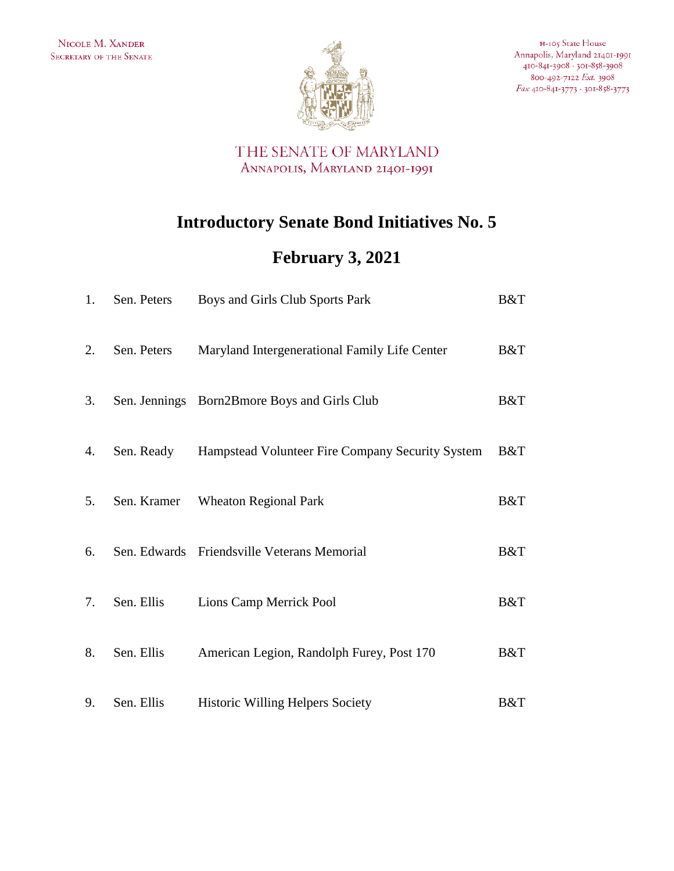

H-105 State House Annapolis, Maryland 21401-1991 410-841-3908 · 301-858-3908 800-492-7122 Ext. 3908 Fax 410-841-3773 · 301-858-3773

THE SENATE OF MARYLAND ANNAPOLIS, MARYLAND 21401-1991

## **Introductory Senate Bond Initiatives No. 5**

## **February 3, 2021**

| 1. | Sen. Peters | Boys and Girls Club Sports Park                  | B&T |
|----|-------------|--------------------------------------------------|-----|
| 2. | Sen. Peters | Maryland Intergenerational Family Life Center    | B&T |
| 3. |             | Sen. Jennings Born2Bmore Boys and Girls Club     | B&T |
| 4. | Sen. Ready  | Hampstead Volunteer Fire Company Security System | B&T |
| 5. | Sen. Kramer | <b>Wheaton Regional Park</b>                     | B&T |
| 6. |             | Sen. Edwards Friendsville Veterans Memorial      | B&T |
| 7. | Sen. Ellis  | Lions Camp Merrick Pool                          | B&T |
| 8. | Sen. Ellis  | American Legion, Randolph Furey, Post 170        | B&T |
| 9. | Sen. Ellis  | <b>Historic Willing Helpers Society</b>          | B&T |